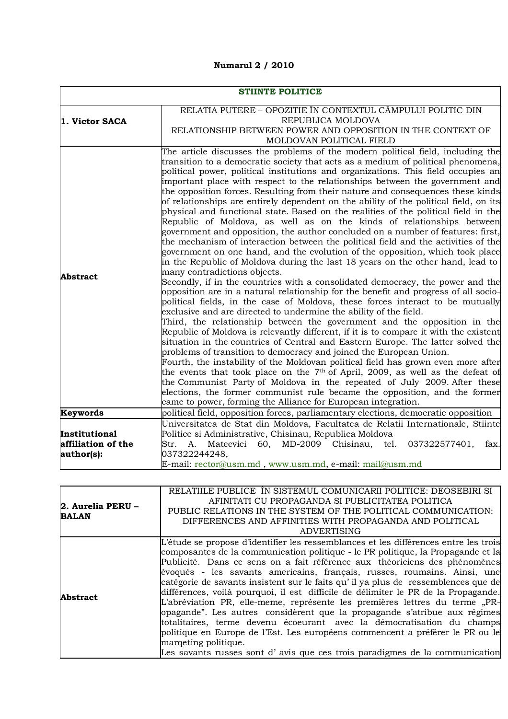## **Numarul 2 / 2010**

| <b>STIINTE POLITICE</b> |                                                                                                                                                                          |
|-------------------------|--------------------------------------------------------------------------------------------------------------------------------------------------------------------------|
|                         |                                                                                                                                                                          |
|                         | RELATIA PUTERE – OPOZITIE ÎN CONTEXTUL CÂMPULUI POLITIC DIN                                                                                                              |
| 1. Victor SACA          | REPUBLICA MOLDOVA                                                                                                                                                        |
|                         | RELATIONSHIP BETWEEN POWER AND OPPOSITION IN THE CONTEXT OF<br>MOLDOVAN POLITICAL FIELD                                                                                  |
|                         |                                                                                                                                                                          |
|                         | The article discusses the problems of the modern political field, including the<br>transition to a democratic society that acts as a medium of political phenomena,      |
|                         | political power, political institutions and organizations. This field occupies an                                                                                        |
|                         | important place with respect to the relationships between the government and                                                                                             |
|                         | the opposition forces. Resulting from their nature and consequences these kinds                                                                                          |
|                         | of relationships are entirely dependent on the ability of the political field, on its                                                                                    |
|                         | physical and functional state. Based on the realities of the political field in the                                                                                      |
|                         | Republic of Moldova, as well as on the kinds of relationships between                                                                                                    |
|                         | government and opposition, the author concluded on a number of features: first,                                                                                          |
|                         | the mechanism of interaction between the political field and the activities of the                                                                                       |
|                         | government on one hand, and the evolution of the opposition, which took place                                                                                            |
|                         | in the Republic of Moldova during the last 18 years on the other hand, lead to                                                                                           |
| <b>Abstract</b>         | many contradictions objects.                                                                                                                                             |
|                         | Secondly, if in the countries with a consolidated democracy, the power and the                                                                                           |
|                         | opposition are in a natural relationship for the benefit and progress of all socio-                                                                                      |
|                         | political fields, in the case of Moldova, these forces interact to be mutually                                                                                           |
|                         | exclusive and are directed to undermine the ability of the field.                                                                                                        |
|                         | Third, the relationship between the government and the opposition in the                                                                                                 |
|                         | Republic of Moldova is relevantly different, if it is to compare it with the existent<br>situation in the countries of Central and Eastern Europe. The latter solved the |
|                         | problems of transition to democracy and joined the European Union.                                                                                                       |
|                         | Fourth, the instability of the Moldovan political field has grown even more after                                                                                        |
|                         | the events that took place on the 7 <sup>th</sup> of April, 2009, as well as the defeat of                                                                               |
|                         | the Communist Party of Moldova in the repeated of July 2009. After these                                                                                                 |
|                         | elections, the former communist rule became the opposition, and the former                                                                                               |
|                         | came to power, forming the Alliance for European integration.                                                                                                            |
| Keywords                | political field, opposition forces, parliamentary elections, democratic opposition                                                                                       |
|                         | Universitatea de Stat din Moldova, Facultatea de Relatii Internationale, Stiinte                                                                                         |
| Institutional           | Politice si Administrative, Chisinau, Republica Moldova                                                                                                                  |
| affiliation of the      | Mateevici 60, MD-2009 Chisinau, tel. 037322577401,<br>Str.<br>A.<br>fax.                                                                                                 |
| author(s):              | 037322244248,                                                                                                                                                            |
|                         | E-mail: rector@usm.md, www.usm.md, e-mail: mail@usm.md                                                                                                                   |

| $2.$ Aurelia PERU $-$<br><b>BALAN</b> | RELATIILE PUBLICE IN SISTEMUL COMUNICARII POLITICE: DEOSEBIRI SI<br>AFINITATI CU PROPAGANDA SI PUBLICITATEA POLITICA<br>PUBLIC RELATIONS IN THE SYSTEM OF THE POLITICAL COMMUNICATION:<br>DIFFERENCES AND AFFINITIES WITH PROPAGANDA AND POLITICAL<br><b>ADVERTISING</b>                                                                                                                                                                                                                                                                                                                                                                                                                                                                                                                                                                                                                                                                                |
|---------------------------------------|---------------------------------------------------------------------------------------------------------------------------------------------------------------------------------------------------------------------------------------------------------------------------------------------------------------------------------------------------------------------------------------------------------------------------------------------------------------------------------------------------------------------------------------------------------------------------------------------------------------------------------------------------------------------------------------------------------------------------------------------------------------------------------------------------------------------------------------------------------------------------------------------------------------------------------------------------------|
| <b>Abstract</b>                       | $\mathbb{L}$ 'étude se propose d'identifier les ressemblances et les différences entre les trois<br>composantes de la communication politique - le PR politique, la Propagande et la<br>Publicité. Dans ce sens on a fait référence aux théoriciens des phénomènes<br>évoqués - les savants americains, français, russes, roumains. Ainsi, une<br>catégorie de savants insistent sur le faits qu'il ya plus de ressemblences que de<br>différences, voilà pourquoi, il est difficile de délimiter le PR de la Propagande.<br>L'abréviation PR, elle-meme, représente les premières lettres du terme "PR-<br>opagande". Les autres considèrent que la propagande s'atribue aux régimes<br>totalitaires, terme devenu écoeurant avec la démocratisation du champs<br>politique en Europe de l'Est. Les européens commencent a préférer le PR ou le<br>margeting politique.<br>Les savants russes sont d'avis que ces trois paradigmes de la communication |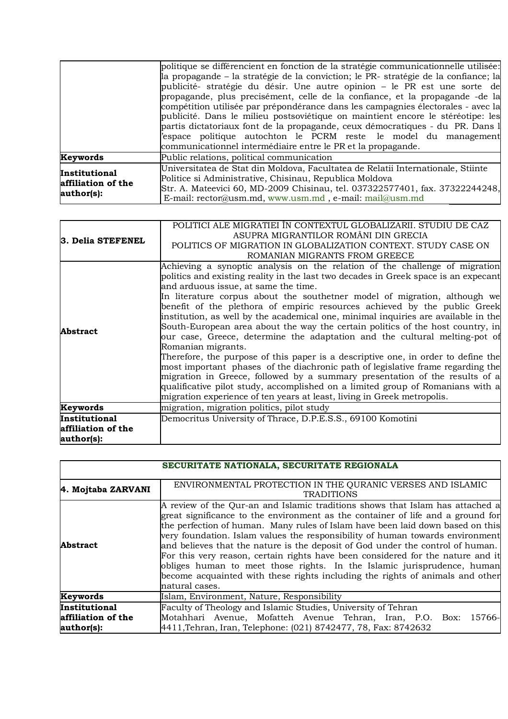|                                                   | politique se différencient en fonction de la stratégie communicationnelle utilisée:<br>$\ $ a propagande – la stratégie de la conviction; le PR- stratégie de la confiance; la<br>publicité-stratégie du désir. Une autre opinion – le PR est une sorte de                                                                                                                                                                                                              |
|---------------------------------------------------|-------------------------------------------------------------------------------------------------------------------------------------------------------------------------------------------------------------------------------------------------------------------------------------------------------------------------------------------------------------------------------------------------------------------------------------------------------------------------|
|                                                   | propagande, plus precisément, celle de la confiance, et la propagande -de la<br>compétition utilisée par prépondérance dans les campagnies électorales - avec la<br>publicité. Dans le milieu postsoviétique on maintient encore le stéréotipe: les<br>partis dictatoriaux font de la propagande, ceux démocratiques - du PR. Dans l<br>espace politique autochton le PCRM reste le model du management<br>communicationnel intermédiaire entre le PR et la propagande. |
| Keywords                                          | Public relations, political communication                                                                                                                                                                                                                                                                                                                                                                                                                               |
| Institutional<br>affiliation of the<br>author(s): | Universitatea de Stat din Moldova, Facultatea de Relatii Internationale, Stiinte<br>Politice si Administrative, Chisinau, Republica Moldova<br>Str. A. Mateevici 60, MD-2009 Chisinau, tel. 037322577401, fax. 37322244248,<br>E-mail: rector@usm.md, www.usm.md, e-mail: mail@usm.md                                                                                                                                                                                   |

| 3. Delia STEFENEL  | POLITICI ALE MIGRATIEI ÎN CONTEXTUL GLOBALIZARII. STUDIU DE CAZ<br>ASUPRA MIGRANTILOR ROMÂNI DIN GRECIA |
|--------------------|---------------------------------------------------------------------------------------------------------|
|                    | POLITICS OF MIGRATION IN GLOBALIZATION CONTEXT. STUDY CASE ON                                           |
|                    | ROMANIAN MIGRANTS FROM GREECE                                                                           |
|                    | Achieving a synoptic analysis on the relation of the challenge of migration                             |
|                    | politics and existing reality in the last two decades in Greek space is an expecant                     |
|                    | and arduous issue, at same the time.                                                                    |
|                    | In literature corpus about the southetner model of migration, although we                               |
|                    | benefit of the plethora of empiric resources achieved by the public Greek                               |
|                    | institution, as well by the academical one, minimal inquiries are available in the                      |
| <b>Abstract</b>    | South-European area about the way the certain politics of the host country, in                          |
|                    | our case, Greece, determine the adaptation and the cultural melting-pot of                              |
|                    | Romanian migrants.                                                                                      |
|                    | Therefore, the purpose of this paper is a descriptive one, in order to define the                       |
|                    | most important phases of the diachronic path of legislative frame regarding the                         |
|                    | migration in Greece, followed by a summary presentation of the results of a                             |
|                    | qualificative pilot study, accomplished on a limited group of Romanians with a                          |
|                    | migration experience of ten years at least, living in Greek metropolis.                                 |
| Keywords           | migration, migration politics, pilot study                                                              |
| Institutional      | Democritus University of Thrace, D.P.E.S.S., 69100 Komotini                                             |
| affiliation of the |                                                                                                         |
| author(s):         |                                                                                                         |

|                                                   | SECURITATE NATIONALA, SECURITATE REGIONALA                                                                                                                                                                                                                                                                                                                                                                                                                                                                                                                                                                                                                                             |
|---------------------------------------------------|----------------------------------------------------------------------------------------------------------------------------------------------------------------------------------------------------------------------------------------------------------------------------------------------------------------------------------------------------------------------------------------------------------------------------------------------------------------------------------------------------------------------------------------------------------------------------------------------------------------------------------------------------------------------------------------|
| 4. Mojtaba ZARVANI                                | ENVIRONMENTAL PROTECTION IN THE QURANIC VERSES AND ISLAMIC<br><b>TRADITIONS</b>                                                                                                                                                                                                                                                                                                                                                                                                                                                                                                                                                                                                        |
| <b>Abstract</b>                                   | A review of the Qur-an and Islamic traditions shows that Islam has attached a<br>great significance to the environment as the container of life and a ground for<br>the perfection of human. Many rules of Islam have been laid down based on this<br>very foundation. Islam values the responsibility of human towards environment<br>and believes that the nature is the deposit of God under the control of human.<br>For this very reason, certain rights have been considered for the nature and it<br>obliges human to meet those rights. In the Islamic jurisprudence, human<br>become acquainted with these rights including the rights of animals and other<br>natural cases. |
| Keywords                                          | Islam, Environment, Nature, Responsibility                                                                                                                                                                                                                                                                                                                                                                                                                                                                                                                                                                                                                                             |
| Institutional<br>affiliation of the<br>author(s): | Faculty of Theology and Islamic Studies, University of Tehran<br>Motahhari Avenue, Mofatteh Avenue Tehran, Iran, P.O. Box: 15766-<br>4411, Tehran, Iran, Telephone: (021) 8742477, 78, Fax: 8742632                                                                                                                                                                                                                                                                                                                                                                                                                                                                                    |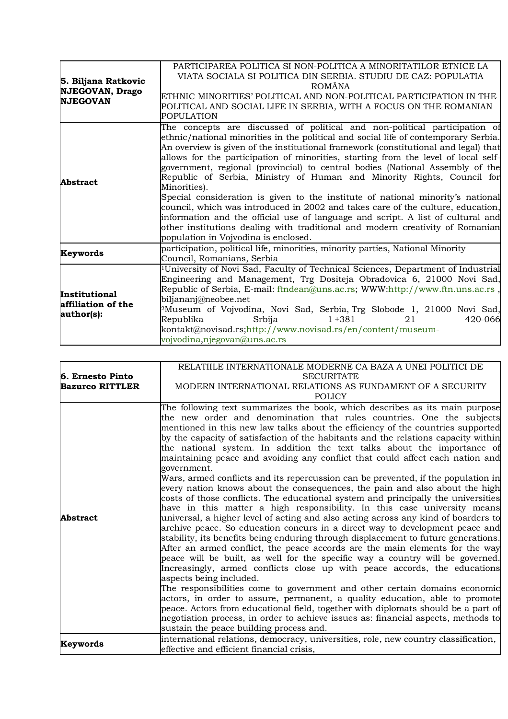| 5. Biljana Ratkovic<br><b>NJEGOVAN, Drago</b><br><b>NJEGOVAN</b> | PARTICIPAREA POLITICA SI NON-POLITICA A MINORITATILOR ETNICE LA<br>VIATA SOCIALA SI POLITICA DIN SERBIA. STUDIU DE CAZ: POPULATIA<br><b>ROMÂNA</b><br>ETHNIC MINORITIES' POLITICAL AND NON-POLITICAL PARTICIPATION IN THE<br>POLITICAL AND SOCIAL LIFE IN SERBIA, WITH A FOCUS ON THE ROMANIAN<br>POPULATION                                                                                                                                                                                                                                                                                                                                                                                                                                                                                                                                                                                                         |
|------------------------------------------------------------------|----------------------------------------------------------------------------------------------------------------------------------------------------------------------------------------------------------------------------------------------------------------------------------------------------------------------------------------------------------------------------------------------------------------------------------------------------------------------------------------------------------------------------------------------------------------------------------------------------------------------------------------------------------------------------------------------------------------------------------------------------------------------------------------------------------------------------------------------------------------------------------------------------------------------|
| <b>Abstract</b>                                                  | The concepts are discussed of political and non-political participation of<br>ethnic/national minorities in the political and social life of contemporary Serbia.<br>An overview is given of the institutional framework (constitutional and legal) that<br>allows for the participation of minorities, starting from the level of local self-<br>government, regional (provincial) to central bodies (National Assembly of the<br>Republic of Serbia, Ministry of Human and Minority Rights, Council for<br>Minorities).<br>Special consideration is given to the institute of national minority's national<br>council, which was introduced in 2002 and takes care of the culture, education,<br>$\sharp$ information and the official use of language and script. A list of cultural and<br>other institutions dealing with traditional and modern creativity of Romanian<br>population in Vojvodina is enclosed. |
| Keywords                                                         | participation, political life, minorities, minority parties, National Minority<br>Council, Romanians, Serbia                                                                                                                                                                                                                                                                                                                                                                                                                                                                                                                                                                                                                                                                                                                                                                                                         |
| Institutional<br>affiliation of the<br>author(s):                | $\frac{1}{2}$ University of Novi Sad, Faculty of Technical Sciences, Department of Industrial<br>Engineering and Management, Trg Dositeja Obradovica 6, 21000 Novi Sad,<br>Republic of Serbia, E-mail: ftndean@uns.ac.rs; WWW:http://www.ftn.uns.ac.rs ,<br>biljananj@neobee.net<br>PMuseum of Vojvodina, Novi Sad, Serbia, Trg Slobode 1, 21000 Novi Sad,<br>Republika<br>$1 + 381$<br>420-066<br>Srbija<br>21<br>kontakt@novisad.rs;http://www.novisad.rs/en/content/museum-<br>vojvodina, njegovan@uns.ac.rs                                                                                                                                                                                                                                                                                                                                                                                                      |

|                        | RELATIILE INTERNATIONALE MODERNE CA BAZA A UNEI POLITICI DE                                                                                                                                                                                                                                                                                                                                                                                                                                                                                                                                                                                                                                                                                                                                                                                                                                                                                                                                                                                                                                                                                                                                                                                                                                                                                                                                                                                                                                                                                                                                                                                                                                                                                                                                                                                                 |
|------------------------|-------------------------------------------------------------------------------------------------------------------------------------------------------------------------------------------------------------------------------------------------------------------------------------------------------------------------------------------------------------------------------------------------------------------------------------------------------------------------------------------------------------------------------------------------------------------------------------------------------------------------------------------------------------------------------------------------------------------------------------------------------------------------------------------------------------------------------------------------------------------------------------------------------------------------------------------------------------------------------------------------------------------------------------------------------------------------------------------------------------------------------------------------------------------------------------------------------------------------------------------------------------------------------------------------------------------------------------------------------------------------------------------------------------------------------------------------------------------------------------------------------------------------------------------------------------------------------------------------------------------------------------------------------------------------------------------------------------------------------------------------------------------------------------------------------------------------------------------------------------|
| 6. Ernesto Pinto       | <b>SECURITATE</b>                                                                                                                                                                                                                                                                                                                                                                                                                                                                                                                                                                                                                                                                                                                                                                                                                                                                                                                                                                                                                                                                                                                                                                                                                                                                                                                                                                                                                                                                                                                                                                                                                                                                                                                                                                                                                                           |
| <b>Bazurco RITTLER</b> | MODERN INTERNATIONAL RELATIONS AS FUNDAMENT OF A SECURITY                                                                                                                                                                                                                                                                                                                                                                                                                                                                                                                                                                                                                                                                                                                                                                                                                                                                                                                                                                                                                                                                                                                                                                                                                                                                                                                                                                                                                                                                                                                                                                                                                                                                                                                                                                                                   |
|                        | <b>POLICY</b>                                                                                                                                                                                                                                                                                                                                                                                                                                                                                                                                                                                                                                                                                                                                                                                                                                                                                                                                                                                                                                                                                                                                                                                                                                                                                                                                                                                                                                                                                                                                                                                                                                                                                                                                                                                                                                               |
| <b>Abstract</b>        | The following text summarizes the book, which describes as its main purpose<br>the new order and denomination that rules countries. One the subjects<br>mentioned in this new law talks about the efficiency of the countries supported<br>by the capacity of satisfaction of the habitants and the relations capacity within<br>the national system. In addition the text talks about the importance of<br>maintaining peace and avoiding any conflict that could affect each nation and<br>government.<br>Wars, armed conflicts and its repercussion can be prevented, if the population in<br>every nation knows about the consequences, the pain and also about the high<br>costs of those conflicts. The educational system and principally the universities<br>have in this matter a high responsibility. In this case university means<br>universal, a higher level of acting and also acting across any kind of boarders to<br>archive peace. So education concurs in a direct way to development peace and<br>stability, its benefits being enduring through displacement to future generations.<br>After an armed conflict, the peace accords are the main elements for the way<br>peace will be built, as well for the specific way a country will be governed.<br>Increasingly, armed conflicts close up with peace accords, the educations<br>aspects being included.<br>The responsibilities come to government and other certain domains economic<br>actors, in order to assure, permanent, a quality education, able to promote<br>peace. Actors from educational field, together with diplomats should be a part of<br>negotiation process, in order to achieve issues as: financial aspects, methods to<br>sustain the peace building process and.<br>international relations, democracy, universities, role, new country classification, |
| Keywords               | effective and efficient financial crisis,                                                                                                                                                                                                                                                                                                                                                                                                                                                                                                                                                                                                                                                                                                                                                                                                                                                                                                                                                                                                                                                                                                                                                                                                                                                                                                                                                                                                                                                                                                                                                                                                                                                                                                                                                                                                                   |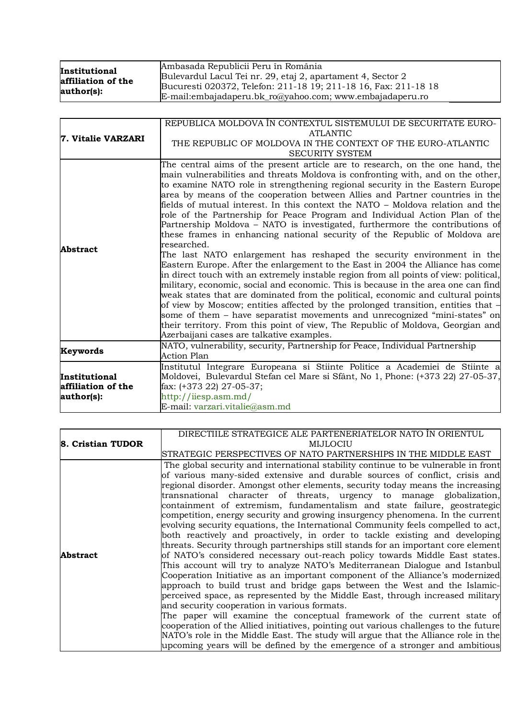| Institutional      | Ambasada Republicii Peru în România                             |
|--------------------|-----------------------------------------------------------------|
| affiliation of the | Bulevardul Lacul Tei nr. 29, etaj 2, apartament 4, Sector 2     |
| author(s):         | Bucuresti 020372, Telefon: 211-18 19; 211-18 16, Fax: 211-18 18 |
|                    | $E$ -mail:embajadaperu.bk_ro@yahoo.com; www.embajadaperu.ro     |

| 7. Vitalie VARZARI | REPUBLICA MOLDOVA ÎN CONTEXTUL SISTEMULUI DE SECURITATE EURO-<br><b>ATLANTIC</b>                                                                                                                                                                                                                                                                                                                                                                                                                                                                                                                                                                                                                                                                                                                                                                                                                                                                                                                                                                                                                                                                                                                                                                                                                                                                                                                                 |
|--------------------|------------------------------------------------------------------------------------------------------------------------------------------------------------------------------------------------------------------------------------------------------------------------------------------------------------------------------------------------------------------------------------------------------------------------------------------------------------------------------------------------------------------------------------------------------------------------------------------------------------------------------------------------------------------------------------------------------------------------------------------------------------------------------------------------------------------------------------------------------------------------------------------------------------------------------------------------------------------------------------------------------------------------------------------------------------------------------------------------------------------------------------------------------------------------------------------------------------------------------------------------------------------------------------------------------------------------------------------------------------------------------------------------------------------|
|                    | THE REPUBLIC OF MOLDOVA IN THE CONTEXT OF THE EURO-ATLANTIC<br><b>SECURITY SYSTEM</b>                                                                                                                                                                                                                                                                                                                                                                                                                                                                                                                                                                                                                                                                                                                                                                                                                                                                                                                                                                                                                                                                                                                                                                                                                                                                                                                            |
| Abstract           | The central aims of the present article are to research, on the one hand, the<br>main vulnerabilities and threats Moldova is confronting with, and on the other,<br>to examine NATO role in strengthening regional security in the Eastern Europe<br>area by means of the cooperation between Allies and Partner countries in the<br>fields of mutual interest. In this context the NATO – Moldova relation and the<br>role of the Partnership for Peace Program and Individual Action Plan of the<br>Partnership Moldova – NATO is investigated, furthermore the contributions of<br>these frames in enhancing national security of the Republic of Moldova are<br>researched.<br>The last NATO enlargement has reshaped the security environment in the<br>Eastern Europe. After the enlargement to the East in 2004 the Alliance has come<br>in direct touch with an extremely instable region from all points of view: political,<br>military, economic, social and economic. This is because in the area one can find<br>weak states that are dominated from the political, economic and cultural points<br>of view by Moscow; entities affected by the prolonged transition, entities that –<br>some of them – have separatist movements and unrecognized "mini-states" on<br>their territory. From this point of view, The Republic of Moldova, Georgian and<br>Azerbaijani cases are talkative examples. |
| Keywords           | NATO, vulnerability, security, Partnership for Peace, Individual Partnership<br><b>Action Plan</b>                                                                                                                                                                                                                                                                                                                                                                                                                                                                                                                                                                                                                                                                                                                                                                                                                                                                                                                                                                                                                                                                                                                                                                                                                                                                                                               |
| Institutional      | Institutul Integrare Europeana si Stiinte Politice a Academiei de Stiinte a<br>Moldovei, Bulevardul Stefan cel Mare si Sfânt, No 1, Phone: (+373 22) 27-05-37,                                                                                                                                                                                                                                                                                                                                                                                                                                                                                                                                                                                                                                                                                                                                                                                                                                                                                                                                                                                                                                                                                                                                                                                                                                                   |
| affiliation of the | fax: $(+373 22)$ 27-05-37;                                                                                                                                                                                                                                                                                                                                                                                                                                                                                                                                                                                                                                                                                                                                                                                                                                                                                                                                                                                                                                                                                                                                                                                                                                                                                                                                                                                       |
| author(s):         | $\frac{http://iiesp.asm.md/}{$<br>E-mail: varzari.vitalie@asm.md                                                                                                                                                                                                                                                                                                                                                                                                                                                                                                                                                                                                                                                                                                                                                                                                                                                                                                                                                                                                                                                                                                                                                                                                                                                                                                                                                 |

|                   | DIRECTIILE STRATEGICE ALE PARTENERIATELOR NATO ÎN ORIENTUL                                                                                                                                                                                                                                                                                                                                                                                                                                                                                                                                                                                                                                                                                                                                                                                                                                                                                                                                                                                                                                                                                                                                                                                                                                                                                                                                                                                                              |
|-------------------|-------------------------------------------------------------------------------------------------------------------------------------------------------------------------------------------------------------------------------------------------------------------------------------------------------------------------------------------------------------------------------------------------------------------------------------------------------------------------------------------------------------------------------------------------------------------------------------------------------------------------------------------------------------------------------------------------------------------------------------------------------------------------------------------------------------------------------------------------------------------------------------------------------------------------------------------------------------------------------------------------------------------------------------------------------------------------------------------------------------------------------------------------------------------------------------------------------------------------------------------------------------------------------------------------------------------------------------------------------------------------------------------------------------------------------------------------------------------------|
| 8. Cristian TUDOR | MIJLOCIU                                                                                                                                                                                                                                                                                                                                                                                                                                                                                                                                                                                                                                                                                                                                                                                                                                                                                                                                                                                                                                                                                                                                                                                                                                                                                                                                                                                                                                                                |
|                   | STRATEGIC PERSPECTIVES OF NATO PARTNERSHIPS IN THE MIDDLE EAST                                                                                                                                                                                                                                                                                                                                                                                                                                                                                                                                                                                                                                                                                                                                                                                                                                                                                                                                                                                                                                                                                                                                                                                                                                                                                                                                                                                                          |
| <b>Abstract</b>   | The global security and international stability continue to be vulnerable in front<br>of various many-sided extensive and durable sources of conflict, crisis and<br>regional disorder. Amongst other elements, security today means the increasing<br>transnational character of threats, urgency to manage globalization,<br>containment of extremism, fundamentalism and state failure, geostrategic<br>competition, energy security and growing insurgency phenomena. In the current<br>evolving security equations, the International Community feels compelled to act,<br>both reactively and proactively, in order to tackle existing and developing<br>threats. Security through partnerships still stands for an important core element<br>of NATO's considered necessary out-reach policy towards Middle East states.<br>This account will try to analyze NATO's Mediterranean Dialogue and Istanbul<br>Cooperation Initiative as an important component of the Alliance's modernized<br>approach to build trust and bridge gaps between the West and the Islamic-<br>perceived space, as represented by the Middle East, through increased military<br>and security cooperation in various formats.<br>The paper will examine the conceptual framework of the current state of<br>cooperation of the Allied initiatives, pointing out various challenges to the future<br>NATO's role in the Middle East. The study will argue that the Alliance role in the |
|                   | upcoming years will be defined by the emergence of a stronger and ambitious                                                                                                                                                                                                                                                                                                                                                                                                                                                                                                                                                                                                                                                                                                                                                                                                                                                                                                                                                                                                                                                                                                                                                                                                                                                                                                                                                                                             |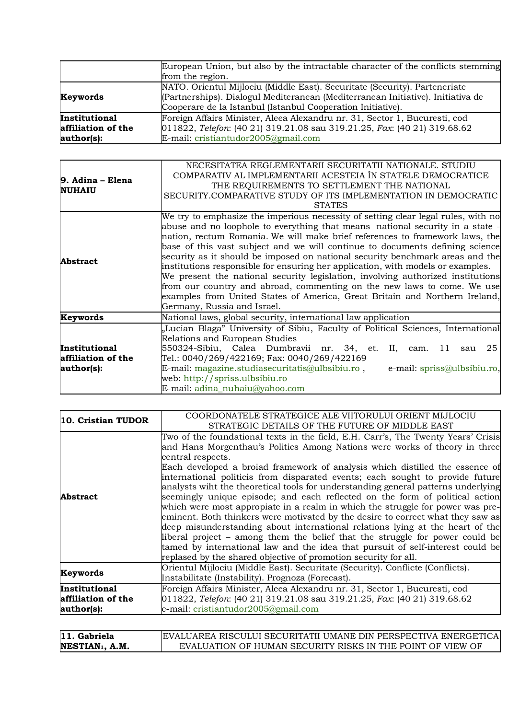|                                                   | European Union, but also by the intractable character of the conflicts stemming<br>from the region.                                                                                                                          |
|---------------------------------------------------|------------------------------------------------------------------------------------------------------------------------------------------------------------------------------------------------------------------------------|
| Keywords                                          | NATO. Orientul Mijlociu (Middle East). Securitate (Security). Parteneriate<br>(Partnerships). Dialogul Mediteranean (Mediterranean Initiative). Initiativa de<br>Cooperare de la Istanbul (Istanbul Cooperation Initiative). |
| Institutional<br>affiliation of the<br>author(s): | Foreign Affairs Minister, Aleea Alexandru nr. 31, Sector 1, Bucuresti, cod<br>$[011822,$ Telefon: (40 21) 319.21.08 sau 319.21.25, Fax: (40 21) 319.68.62<br>E-mail: cristiantudor2005@gmail.com                             |

| 9. Adina – Elena   | NECESITATEA REGLEMENTARII SECURITATII NATIONALE. STUDIU                           |
|--------------------|-----------------------------------------------------------------------------------|
|                    | COMPARATIV AL IMPLEMENTARII ACESTEIA ÎN STATELE DEMOCRATICE                       |
|                    | THE REQUIREMENTS TO SETTLEMENT THE NATIONAL                                       |
| <b>NUHAIU</b>      | SECURITY.COMPARATIVE STUDY OF ITS IMPLEMENTATION IN DEMOCRATIC                    |
|                    | <b>STATES</b>                                                                     |
|                    | We try to emphasize the imperious necessity of setting clear legal rules, with no |
|                    | abuse and no loophole to everything that means national security in a state -     |
|                    | nation, rectum Romania. We will make brief references to framework laws, the      |
|                    | base of this vast subject and we will continue to documents defining science      |
| <b>Abstract</b>    | security as it should be imposed on national security benchmark areas and the     |
|                    | institutions responsible for ensuring her application, with models or examples.   |
|                    | We present the national security legislation, involving authorized institutions   |
|                    | from our country and abroad, commenting on the new laws to come. We use           |
|                    | examples from United States of America, Great Britain and Northern Ireland,       |
|                    | Germany, Russia and Israel.                                                       |
| Keywords           | National laws, global security, international law application                     |
|                    | "Lucian Blaga" University of Sibiu, Faculty of Political Sciences, International  |
|                    | Relations and European Studies                                                    |
| Institutional      | 550324-Sibiu, Calea Dumbravii nr. 34, et. II,<br>25<br>11<br>cam.<br>sau          |
| affiliation of the | Tel.: 0040/269/422169; Fax: 0040/269/422169                                       |
| author(s):         | E-mail: magazine.studiasecuritatis@ulbsibiu.ro,<br>e-mail: spriss@ulbsibiu.ro,    |
|                    | web: http://spriss.ulbsibiu.ro                                                    |
|                    | E-mail: adina_nuhaiu@yahoo.com                                                    |

| 10. Cristian TUDOR                                | COORDONATELE STRATEGICE ALE VIITORULUI ORIENT MIJLOCIU<br>STRATEGIC DETAILS OF THE FUTURE OF MIDDLE EAST                                                                                                                                                                                                                                                                                                                                                                                                                                                                                                                                                                                                                                                                                                                                                                                                                                                                                                              |  |  |  |
|---------------------------------------------------|-----------------------------------------------------------------------------------------------------------------------------------------------------------------------------------------------------------------------------------------------------------------------------------------------------------------------------------------------------------------------------------------------------------------------------------------------------------------------------------------------------------------------------------------------------------------------------------------------------------------------------------------------------------------------------------------------------------------------------------------------------------------------------------------------------------------------------------------------------------------------------------------------------------------------------------------------------------------------------------------------------------------------|--|--|--|
| Abstract                                          | Two of the foundational texts in the field, E.H. Carr's, The Twenty Years' Crisis<br>and Hans Morgenthau's Politics Among Nations were works of theory in three<br>central respects.<br>Each developed a broiad framework of analysis which distilled the essence of<br>international politicis from disparated events; each sought to provide future<br>analysts wiht the theoretical tools for understanding general patterns underlying<br>seemingly unique episode; and each reflected on the form of political action<br>which were most appropiate in a realm in which the struggle for power was pre-<br>eminent. Both thinkers were motivated by the desire to correct what they saw as<br>deep misunderstanding about international relations lying at the heart of the<br>liberal project – among them the belief that the struggle for power could be<br>tamed by international law and the idea that pursuit of self-interest could be<br>replased by the shared objective of promotion security for all. |  |  |  |
| Keywords                                          | Orientul Mijlociu (Middle East). Securitate (Security). Conflicte (Conflicts).<br>Instabilitate (Instability). Prognoza (Forecast).                                                                                                                                                                                                                                                                                                                                                                                                                                                                                                                                                                                                                                                                                                                                                                                                                                                                                   |  |  |  |
| Institutional<br>affiliation of the<br>author(s): | Foreign Affairs Minister, Aleea Alexandru nr. 31, Sector 1, Bucuresti, cod<br>011822, Telefon: (40 21) 319.21.08 sau 319.21.25, Fax: (40 21) 319.68.62<br>e-mail: cristiantudor2005@gmail.com                                                                                                                                                                                                                                                                                                                                                                                                                                                                                                                                                                                                                                                                                                                                                                                                                         |  |  |  |
| $11$ Cohrielo                                     | FVALUAREA RISCULLUI SECURITATILUMANE DIN PERSPECTIVA ENERGETICAL                                                                                                                                                                                                                                                                                                                                                                                                                                                                                                                                                                                                                                                                                                                                                                                                                                                                                                                                                      |  |  |  |

| $ 11.$ Gabriela       | IEVALUAREA RISCULUI SECURITATII UMANE DIN PERSPECTIVA ENERGETICAL |
|-----------------------|-------------------------------------------------------------------|
| <b>NESTIAN1. A.M.</b> | EVALUATION OF HUMAN SECURITY RISKS IN THE POINT OF VIEW OF        |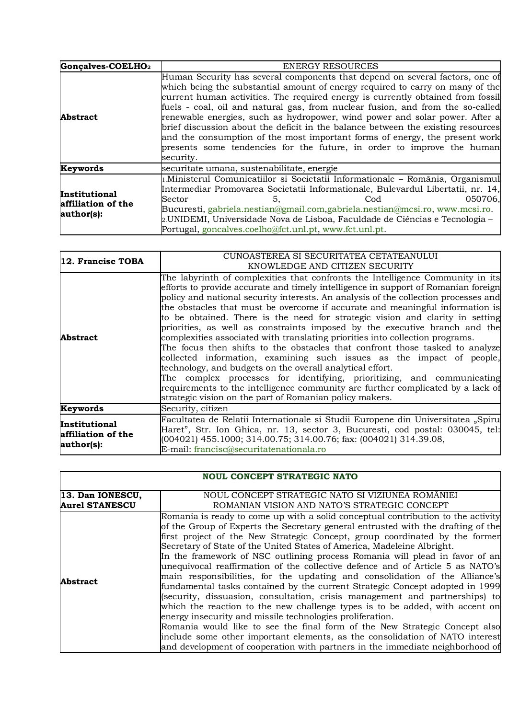| Gonçalves-COELHO <sub>2</sub>                     | <b>ENERGY RESOURCES</b>                                                                                                                                                                                                                                                                                                                                                                                                                                                                                                                                                                                                                                                     |  |  |  |  |  |
|---------------------------------------------------|-----------------------------------------------------------------------------------------------------------------------------------------------------------------------------------------------------------------------------------------------------------------------------------------------------------------------------------------------------------------------------------------------------------------------------------------------------------------------------------------------------------------------------------------------------------------------------------------------------------------------------------------------------------------------------|--|--|--|--|--|
| <b>Abstract</b>                                   | Human Security has several components that depend on several factors, one of<br>which being the substantial amount of energy required to carry on many of the<br>current human activities. The required energy is currently obtained from fossil<br>fuels - coal, oil and natural gas, from nuclear fusion, and from the so-called<br>renewable energies, such as hydropower, wind power and solar power. After a<br>brief discussion about the deficit in the balance between the existing resources<br>and the consumption of the most important forms of energy, the present work<br>presents some tendencies for the future, in order to improve the human<br>security. |  |  |  |  |  |
| Keywords                                          | securitate umana, sustenabilitate, energie                                                                                                                                                                                                                                                                                                                                                                                                                                                                                                                                                                                                                                  |  |  |  |  |  |
| Institutional<br>affiliation of the<br>author(s): | 1.Ministerul Comunicatiilor si Societatii Informationale - România, Organismul<br>Intermediar Promovarea Societatii Informationale, Bulevardul Libertatii, nr. 14,<br>050706,<br>Sector<br>Cod<br>5.<br>Bucuresti, gabriela.nestian@gmail.com,gabriela.nestian@mcsi.ro, www.mcsi.ro.<br>2.UNIDEMI, Universidade Nova de Lisboa, Faculdade de Ciências e Tecnologia –<br>Portugal, goncalves.coelho@fct.unl.pt, www.fct.unl.pt.                                                                                                                                                                                                                                              |  |  |  |  |  |

| 12. Francisc TOBA                                        | CUNOASTEREA SI SECURITATEA CETATEANULUI<br>KNOWLEDGE AND CITIZEN SECURITY                                                                                                                                                                                                                                                                                                                                                                                                                                                                                                                                                                                                                                                                                                                                                                                                                                                                                                                                                                  |  |  |  |  |  |
|----------------------------------------------------------|--------------------------------------------------------------------------------------------------------------------------------------------------------------------------------------------------------------------------------------------------------------------------------------------------------------------------------------------------------------------------------------------------------------------------------------------------------------------------------------------------------------------------------------------------------------------------------------------------------------------------------------------------------------------------------------------------------------------------------------------------------------------------------------------------------------------------------------------------------------------------------------------------------------------------------------------------------------------------------------------------------------------------------------------|--|--|--|--|--|
| <b>Abstract</b>                                          | The labyrinth of complexities that confronts the Intelligence Community in its<br>efforts to provide accurate and timely intelligence in support of Romanian foreign<br>policy and national security interests. An analysis of the collection processes and<br>the obstacles that must be overcome if accurate and meaningful information is<br>to be obtained. There is the need for strategic vision and clarity in setting<br>priorities, as well as constraints imposed by the executive branch and the<br>complexities associated with translating priorities into collection programs.<br>The focus then shifts to the obstacles that confront those tasked to analyze<br>collected information, examining such issues as the impact of people,<br>technology, and budgets on the overall analytical effort.<br>The complex processes for identifying, prioritizing, and communicating<br>requirements to the intelligence community are further complicated by a lack of<br>strategic vision on the part of Romanian policy makers. |  |  |  |  |  |
| Keywords                                                 | Security, citizen                                                                                                                                                                                                                                                                                                                                                                                                                                                                                                                                                                                                                                                                                                                                                                                                                                                                                                                                                                                                                          |  |  |  |  |  |
| <b>Institutional</b><br>affiliation of the<br>author(s): | Facultatea de Relatii Internationale si Studii Europene din Universitatea "Spiru<br>Haret", Str. Ion Ghica, nr. 13, sector 3, Bucuresti, cod postal: 030045, tel:<br>$(004021)$ 455.1000; 314.00.75; 314.00.76; fax: $(004021)$ 314.39.08,<br>E-mail: francisc@securitatenationala.ro                                                                                                                                                                                                                                                                                                                                                                                                                                                                                                                                                                                                                                                                                                                                                      |  |  |  |  |  |

|                                           | <b>NOUL CONCEPT STRATEGIC NATO</b>                                                                                                                                                                                                                                                                                                                                                                                                                                                                                                                                                                                                                                                                                                                                                                                                                                                                                                                                                                                                                                                                                                      |
|-------------------------------------------|-----------------------------------------------------------------------------------------------------------------------------------------------------------------------------------------------------------------------------------------------------------------------------------------------------------------------------------------------------------------------------------------------------------------------------------------------------------------------------------------------------------------------------------------------------------------------------------------------------------------------------------------------------------------------------------------------------------------------------------------------------------------------------------------------------------------------------------------------------------------------------------------------------------------------------------------------------------------------------------------------------------------------------------------------------------------------------------------------------------------------------------------|
| 13. Dan IONESCU,<br><b>Aurel STANESCU</b> | NOUL CONCEPT STRATEGIC NATO SI VIZIUNEA ROMÂNIEI<br>ROMANIAN VISION AND NATO'S STRATEGIC CONCEPT                                                                                                                                                                                                                                                                                                                                                                                                                                                                                                                                                                                                                                                                                                                                                                                                                                                                                                                                                                                                                                        |
| Abstract                                  | Romania is ready to come up with a solid conceptual contribution to the activity<br>of the Group of Experts the Secretary general entrusted with the drafting of the<br>first project of the New Strategic Concept, group coordinated by the former<br>Secretary of State of the United States of America, Madeleine Albright.<br>In the framework of NSC outlining process Romania will plead in favor of an<br>unequivocal reaffirmation of the collective defence and of Article 5 as NATO's<br>main responsibilities, for the updating and consolidation of the Alliance's<br>fundamental tasks contained by the current Strategic Concept adopted in 1999<br>security, dissuasion, consultation, crisis management and partnerships to<br>which the reaction to the new challenge types is to be added, with accent on<br>energy insecurity and missile technologies proliferation.<br>Romania would like to see the final form of the New Strategic Concept also<br>include some other important elements, as the consolidation of NATO interest<br>and development of cooperation with partners in the immediate neighborhood of |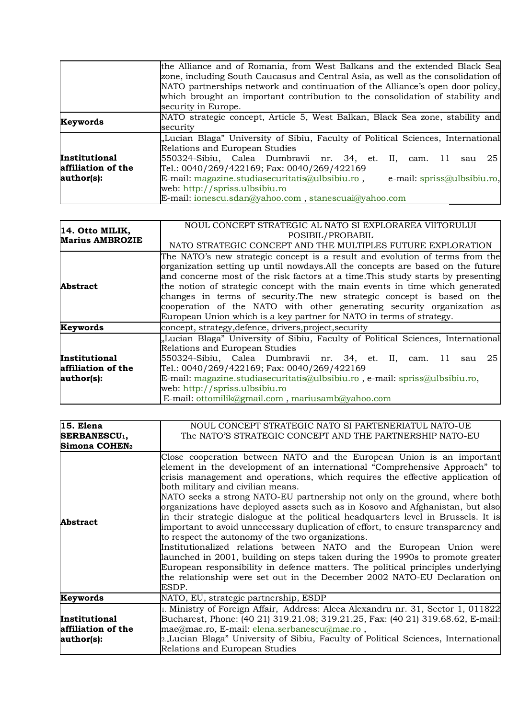|                                                   | the Alliance and of Romania, from West Balkans and the extended Black Sea<br>zone, including South Caucasus and Central Asia, as well as the consolidation of<br>NATO partnerships network and continuation of the Alliance's open door policy,<br>which brought an important contribution to the consolidation of stability and<br>security in Europe.                                                                               |
|---------------------------------------------------|---------------------------------------------------------------------------------------------------------------------------------------------------------------------------------------------------------------------------------------------------------------------------------------------------------------------------------------------------------------------------------------------------------------------------------------|
| Keywords                                          | NATO strategic concept, Article 5, West Balkan, Black Sea zone, stability and<br>security                                                                                                                                                                                                                                                                                                                                             |
| Institutional<br>affiliation of the<br>author(s): | "Lucian Blaga" University of Sibiu, Faculty of Political Sciences, International<br>Relations and European Studies<br>$550324$ -Sibiu, Calea Dumbravii nr. 34, et. II,<br>25<br>-11<br>cam.<br>sau<br>Tel.: $0040/269/422169$ ; Fax: $0040/269/422169$<br>E-mail: magazine.studiasecuritatis@ulbsibiu.ro,<br>e-mail: spriss@ulbsibiu.ro,<br>web: $h$ ttp://spriss.ulbsibiu.ro<br>E-mail: ionescu.sdan@yahoo.com, stanescuai@yahoo.com |

| 14. Otto MILIK,<br><b>Marius AMBROZIE</b>                | NOUL CONCEPT STRATEGIC AL NATO SI EXPLORAREA VIITORULUI<br>POSIBIL/PROBABIL<br>NATO STRATEGIC CONCEPT AND THE MULTIPLES FUTURE EXPLORATION                                                                                                                                                                                                                                                                                                                                                                                                                       |  |  |  |  |  |
|----------------------------------------------------------|------------------------------------------------------------------------------------------------------------------------------------------------------------------------------------------------------------------------------------------------------------------------------------------------------------------------------------------------------------------------------------------------------------------------------------------------------------------------------------------------------------------------------------------------------------------|--|--|--|--|--|
| <b>Abstract</b>                                          | The NATO's new strategic concept is a result and evolution of terms from the<br>organization setting up until nowdays. All the concepts are based on the future<br>and concerne most of the risk factors at a time. This study starts by presenting<br>the notion of strategic concept with the main events in time which generated<br>changes in terms of security. The new strategic concept is based on the<br>cooperation of the NATO with other generating security organization as<br>European Union which is a key partner for NATO in terms of strategy. |  |  |  |  |  |
| Keywords                                                 | concept, strategy, defence, drivers, project, security                                                                                                                                                                                                                                                                                                                                                                                                                                                                                                           |  |  |  |  |  |
| <b>Institutional</b><br>affiliation of the<br>author(s): | "Lucian Blaga" University of Sibiu, Faculty of Political Sciences, International<br>Relations and European Studies<br>550324-Sibiu, Calea Dumbravii nr. 34, et. II, cam. 11<br>25<br>sau<br>Tel.: 0040/269/422169; Fax: 0040/269/422169<br>E-mail: magazine.studiasecuritatis@ulbsibiu.ro, e-mail: spriss@ulbsibiu.ro,<br>web: http://spriss.ulbsibiu.ro<br>E-mail: ottomilik@gmail.com, mariusamb@yahoo.com                                                                                                                                                     |  |  |  |  |  |

| 15. Elena                 | NOUL CONCEPT STRATEGIC NATO SI PARTENERIATUL NATO-UE                                                                                                                                                                                                                                                                                                                                                                                                                                                                                                                                                                                                                                                                                                                                                                                                                                                                                                                                                         |
|---------------------------|--------------------------------------------------------------------------------------------------------------------------------------------------------------------------------------------------------------------------------------------------------------------------------------------------------------------------------------------------------------------------------------------------------------------------------------------------------------------------------------------------------------------------------------------------------------------------------------------------------------------------------------------------------------------------------------------------------------------------------------------------------------------------------------------------------------------------------------------------------------------------------------------------------------------------------------------------------------------------------------------------------------|
| SERBANESCU <sub>1</sub> , | The NATO'S STRATEGIC CONCEPT AND THE PARTNERSHIP NATO-EU                                                                                                                                                                                                                                                                                                                                                                                                                                                                                                                                                                                                                                                                                                                                                                                                                                                                                                                                                     |
| Simona COHEN <sub>2</sub> |                                                                                                                                                                                                                                                                                                                                                                                                                                                                                                                                                                                                                                                                                                                                                                                                                                                                                                                                                                                                              |
| <b>Abstract</b>           | Close cooperation between NATO and the European Union is an important<br>element in the development of an international "Comprehensive Approach" to<br>crisis management and operations, which requires the effective application of<br>both military and civilian means.<br>NATO seeks a strong NATO-EU partnership not only on the ground, where both<br>organizations have deployed assets such as in Kosovo and Afghanistan, but also<br>in their strategic dialogue at the political headquarters level in Brussels. It is<br>important to avoid unnecessary duplication of effort, to ensure transparency and<br>to respect the autonomy of the two organizations.<br>Institutionalized relations between NATO and the European Union were<br>allaunched in 2001, building on steps taken during the 1990s to promote greater<br>European responsibility in defence matters. The political principles underlying<br>the relationship were set out in the December 2002 NATO-EU Declaration on<br>ESDP. |
| Keywords                  | NATO, EU, strategic partnership, ESDP                                                                                                                                                                                                                                                                                                                                                                                                                                                                                                                                                                                                                                                                                                                                                                                                                                                                                                                                                                        |
|                           | 1. Ministry of Foreign Affair, Address: Aleea Alexandru nr. 31, Sector 1, 011822                                                                                                                                                                                                                                                                                                                                                                                                                                                                                                                                                                                                                                                                                                                                                                                                                                                                                                                             |
| Institutional             | Bucharest, Phone: (40 21) 319.21.08; 319.21.25, Fax: (40 21) 319.68.62, E-mail:                                                                                                                                                                                                                                                                                                                                                                                                                                                                                                                                                                                                                                                                                                                                                                                                                                                                                                                              |
| affiliation of the        | mae@mae.ro, E-mail: elena.serbanescu@mae.ro,                                                                                                                                                                                                                                                                                                                                                                                                                                                                                                                                                                                                                                                                                                                                                                                                                                                                                                                                                                 |
| author(s):                | $\mathbb{R}$ , Lucian Blaga" University of Sibiu, Faculty of Political Sciences, International                                                                                                                                                                                                                                                                                                                                                                                                                                                                                                                                                                                                                                                                                                                                                                                                                                                                                                               |
|                           | Relations and European Studies                                                                                                                                                                                                                                                                                                                                                                                                                                                                                                                                                                                                                                                                                                                                                                                                                                                                                                                                                                               |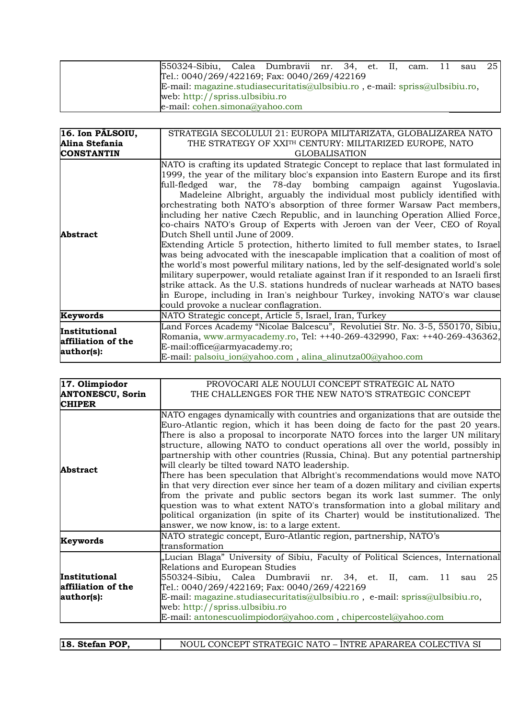| 550324-Sibiu, Calea Dumbravii nr. 34, et. II, cam. 11 sau 25                |  |  |  |  |  |
|-----------------------------------------------------------------------------|--|--|--|--|--|
| Tel.: $0040/269/422169$ ; Fax: $0040/269/422169$                            |  |  |  |  |  |
| E-mail: magazine.studiasecuritatis@ulbsibiu.ro, e-mail: spriss@ulbsibiu.ro, |  |  |  |  |  |
| web: $\frac{htp!}{spriss.}$ ulbsibiu.ro                                     |  |  |  |  |  |
| $e$ -mail: cohen.simona@yahoo.com                                           |  |  |  |  |  |

| 16. Ion PÂLSOIU,                                  | STRATEGIA SECOLULUI 21: EUROPA MILITARIZATA, GLOBALIZAREA NATO                                                                                                                                                                                                                                                                                                                                                                                                                                                                                                                                                                                                                                                                                                                                                                                                                                                                                                                                                                                                                                                                                                            |
|---------------------------------------------------|---------------------------------------------------------------------------------------------------------------------------------------------------------------------------------------------------------------------------------------------------------------------------------------------------------------------------------------------------------------------------------------------------------------------------------------------------------------------------------------------------------------------------------------------------------------------------------------------------------------------------------------------------------------------------------------------------------------------------------------------------------------------------------------------------------------------------------------------------------------------------------------------------------------------------------------------------------------------------------------------------------------------------------------------------------------------------------------------------------------------------------------------------------------------------|
| Alina Stefania                                    | THE STRATEGY OF XXITH CENTURY: MILITARIZED EUROPE, NATO                                                                                                                                                                                                                                                                                                                                                                                                                                                                                                                                                                                                                                                                                                                                                                                                                                                                                                                                                                                                                                                                                                                   |
| <b>CONSTANTIN</b>                                 | <b>GLOBALISATION</b>                                                                                                                                                                                                                                                                                                                                                                                                                                                                                                                                                                                                                                                                                                                                                                                                                                                                                                                                                                                                                                                                                                                                                      |
| <b>Abstract</b>                                   | NATO is crafting its updated Strategic Concept to replace that last formulated in<br>1999, the year of the military bloc's expansion into Eastern Europe and its first<br>full-fledged war, the 78-day bombing campaign against Yugoslavia.<br>Madeleine Albright, arguably the individual most publicly identified with<br>orchestrating both NATO's absorption of three former Warsaw Pact members,<br>including her native Czech Republic, and in launching Operation Allied Force,<br>co-chairs NATO's Group of Experts with Jeroen van der Veer, CEO of Royal<br>Dutch Shell until June of 2009.<br>Extending Article 5 protection, hitherto limited to full member states, to Israel<br>was being advocated with the inescapable implication that a coalition of most of<br>the world's most powerful military nations, led by the self-designated world's sole<br>military superpower, would retaliate against Iran if it responded to an Israeli first<br>strike attack. As the U.S. stations hundreds of nuclear warheads at NATO bases<br>in Europe, including in Iran's neighbour Turkey, invoking NATO's war clause<br>could provoke a nuclear conflagration. |
| Keywords                                          | NATO Strategic concept, Article 5, Israel, Iran, Turkey                                                                                                                                                                                                                                                                                                                                                                                                                                                                                                                                                                                                                                                                                                                                                                                                                                                                                                                                                                                                                                                                                                                   |
| Institutional<br>affiliation of the<br>author(s): | Land Forces Academy "Nicolae Balcescu", Revolutiei Str. No. 3-5, 550170, Sibiu,<br>[Romania, www.armyacademy.ro, Tel: ++40-269-432990, Fax: ++40-269-436362,<br>$E$ -mail:office@armyacademy.ro;<br>E-mail: palsoiu_ion@yahoo.com, alina_alinutza00@yahoo.com                                                                                                                                                                                                                                                                                                                                                                                                                                                                                                                                                                                                                                                                                                                                                                                                                                                                                                             |

| 17. Olimpiodor                                    | PROVOCARI ALE NOULUI CONCEPT STRATEGIC AL NATO                                                                                                                                                                                                                                                                                                                                                                                                                                                                                                                                                                                                                                                                                                                                                                                                                                                                                                |  |  |  |  |  |
|---------------------------------------------------|-----------------------------------------------------------------------------------------------------------------------------------------------------------------------------------------------------------------------------------------------------------------------------------------------------------------------------------------------------------------------------------------------------------------------------------------------------------------------------------------------------------------------------------------------------------------------------------------------------------------------------------------------------------------------------------------------------------------------------------------------------------------------------------------------------------------------------------------------------------------------------------------------------------------------------------------------|--|--|--|--|--|
| <b>ANTONESCU, Sorin</b>                           | THE CHALLENGES FOR THE NEW NATO'S STRATEGIC CONCEPT                                                                                                                                                                                                                                                                                                                                                                                                                                                                                                                                                                                                                                                                                                                                                                                                                                                                                           |  |  |  |  |  |
| <b>CHIPER</b>                                     |                                                                                                                                                                                                                                                                                                                                                                                                                                                                                                                                                                                                                                                                                                                                                                                                                                                                                                                                               |  |  |  |  |  |
| <b>Abstract</b>                                   | NATO engages dynamically with countries and organizations that are outside the<br>Euro-Atlantic region, which it has been doing de facto for the past 20 years.<br>There is also a proposal to incorporate NATO forces into the larger UN military<br>structure, allowing NATO to conduct operations all over the world, possibly in<br>partnership with other countries (Russia, China). But any potential partnership<br>will clearly be tilted toward NATO leadership.<br>There has been speculation that Albright's recommendations would move NATO<br>in that very direction ever since her team of a dozen military and civilian experts<br>from the private and public sectors began its work last summer. The only<br>question was to what extent NATO's transformation into a global military and<br>political organization (in spite of its Charter) would be institutionalized. The<br>answer, we now know, is: to a large extent. |  |  |  |  |  |
| Keywords                                          | NATO strategic concept, Euro-Atlantic region, partnership, NATO's<br>transformation                                                                                                                                                                                                                                                                                                                                                                                                                                                                                                                                                                                                                                                                                                                                                                                                                                                           |  |  |  |  |  |
| Institutional<br>affiliation of the<br>author(s): | "Lucian Blaga" University of Sibiu, Faculty of Political Sciences, International<br>Relations and European Studies<br>550324-Sibiu, Calea Dumbravii nr. 34, et. II, cam. 11 sau 25<br>Tel.: 0040/269/422169; Fax: 0040/269/422169<br>E-mail: magazine.studiasecuritatis@ulbsibiu.ro, e-mail: spriss@ulbsibiu.ro,<br>web: http://spriss.ulbsibiu.ro<br>E-mail: antonescuolimpiodor@yahoo.com, chipercostel@yahoo.com                                                                                                                                                                                                                                                                                                                                                                                                                                                                                                                           |  |  |  |  |  |

| 18. Stefan POP, | NOUL CONCEPT STRATEGIC NATO – ÎNTRE APARAREA COLECTIVA SI |
|-----------------|-----------------------------------------------------------|
|-----------------|-----------------------------------------------------------|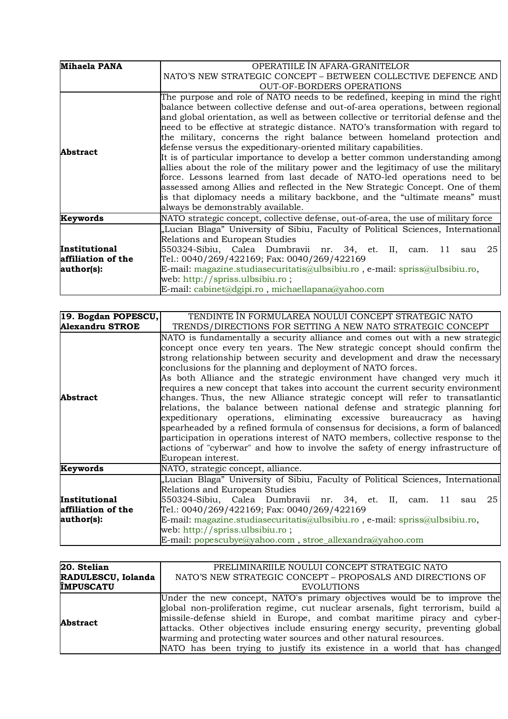| <b>Mihaela PANA</b> | OPERATIILE IN AFARA-GRANITELOR                                                                                                                                                                                                                                                                                                                                                                                                                                                                                                                                                                                                                                                                                                                                                                                                                                                                                                                               |
|---------------------|--------------------------------------------------------------------------------------------------------------------------------------------------------------------------------------------------------------------------------------------------------------------------------------------------------------------------------------------------------------------------------------------------------------------------------------------------------------------------------------------------------------------------------------------------------------------------------------------------------------------------------------------------------------------------------------------------------------------------------------------------------------------------------------------------------------------------------------------------------------------------------------------------------------------------------------------------------------|
|                     | NATO'S NEW STRATEGIC CONCEPT - BETWEEN COLLECTIVE DEFENCE AND                                                                                                                                                                                                                                                                                                                                                                                                                                                                                                                                                                                                                                                                                                                                                                                                                                                                                                |
|                     | <b>OUT-OF-BORDERS OPERATIONS</b>                                                                                                                                                                                                                                                                                                                                                                                                                                                                                                                                                                                                                                                                                                                                                                                                                                                                                                                             |
| Abstract            | The purpose and role of NATO needs to be redefined, keeping in mind the right<br>balance between collective defense and out-of-area operations, between regional<br>$\vert$ and global orientation, as well as between collective or territorial defense and the<br>need to be effective at strategic distance. NATO's transformation with regard to<br>the military, concerns the right balance between homeland protection and<br>defense versus the expeditionary-oriented military capabilities.<br>It is of particular importance to develop a better common understanding among<br>allies about the role of the military power and the legitimacy of use the military<br>force. Lessons learned from last decade of NATO-led operations need to be<br>assessed among Allies and reflected in the New Strategic Concept. One of them<br>is that diplomacy needs a military backbone, and the "ultimate means" must<br>always be demonstrably available. |
| Keywords            | NATO strategic concept, collective defense, out-of-area, the use of military force                                                                                                                                                                                                                                                                                                                                                                                                                                                                                                                                                                                                                                                                                                                                                                                                                                                                           |
| Institutional       | "Lucian Blaga" University of Sibiu, Faculty of Political Sciences, International<br>Relations and European Studies<br>550324-Sibiu, Calea Dumbravii nr. 34, et. II, cam. 11<br>25<br>sau                                                                                                                                                                                                                                                                                                                                                                                                                                                                                                                                                                                                                                                                                                                                                                     |
| affiliation of the  | Tel.: 0040/269/422169; Fax: 0040/269/422169                                                                                                                                                                                                                                                                                                                                                                                                                                                                                                                                                                                                                                                                                                                                                                                                                                                                                                                  |
| author(s):          | E-mail: magazine.studiasecuritatis@ulbsibiu.ro, e-mail: spriss@ulbsibiu.ro,<br>web: http://spriss.ulbsibiu.ro;<br>E-mail: cabinet@dgipi.ro, michaellapana@yahoo.com                                                                                                                                                                                                                                                                                                                                                                                                                                                                                                                                                                                                                                                                                                                                                                                          |

| 19. Bogdan POPESCU,    | TENDINTE IN FORMULAREA NOULUI CONCEPT STRATEGIC NATO                                                                                                                                                                                                                                                                                                                                                                                                                                                                                                                                                                                                                                                                                                                                                                                                                                                                                                                                                       |
|------------------------|------------------------------------------------------------------------------------------------------------------------------------------------------------------------------------------------------------------------------------------------------------------------------------------------------------------------------------------------------------------------------------------------------------------------------------------------------------------------------------------------------------------------------------------------------------------------------------------------------------------------------------------------------------------------------------------------------------------------------------------------------------------------------------------------------------------------------------------------------------------------------------------------------------------------------------------------------------------------------------------------------------|
| <b>Alexandru STROE</b> | TRENDS/DIRECTIONS FOR SETTING A NEW NATO STRATEGIC CONCEPT                                                                                                                                                                                                                                                                                                                                                                                                                                                                                                                                                                                                                                                                                                                                                                                                                                                                                                                                                 |
| <b>Abstract</b>        | $\mathbb N$ ATO is fundamentally a security alliance and comes out with a new strategic<br>concept once every ten years. The New strategic concept should confirm the<br>strong relationship between security and development and draw the necessary<br>conclusions for the planning and deployment of NATO forces.<br>As both Alliance and the strategic environment have changed very much it<br>requires a new concept that takes into account the current security environment<br>changes. Thus, the new Alliance strategic concept will refer to transatlantic<br>relations, the balance between national defense and strategic planning for<br>expeditionary operations, eliminating excessive bureaucracy as having<br>spearheaded by a refined formula of consensus for decisions, a form of balanced<br>participation in operations interest of NATO members, collective response to the<br>actions of "cyberwar" and how to involve the safety of energy infrastructure of<br>European interest. |
| Keywords               | NATO, strategic concept, alliance.                                                                                                                                                                                                                                                                                                                                                                                                                                                                                                                                                                                                                                                                                                                                                                                                                                                                                                                                                                         |
| Institutional          | "Lucian Blaga" University of Sibiu, Faculty of Political Sciences, International<br>Relations and European Studies<br>550324-Sibiu, Calea Dumbravii nr. 34, et. II, cam. 11 sau 25                                                                                                                                                                                                                                                                                                                                                                                                                                                                                                                                                                                                                                                                                                                                                                                                                         |
| affiliation of the     | Tel.: 0040/269/422169; Fax: 0040/269/422169                                                                                                                                                                                                                                                                                                                                                                                                                                                                                                                                                                                                                                                                                                                                                                                                                                                                                                                                                                |
| author(s):             | E-mail: magazine.studiasecuritatis@ulbsibiu.ro, e-mail: spriss@ulbsibiu.ro,<br>web: http://spriss.ulbsibiu.ro;<br>E-mail: popescubye@yahoo.com, stroe_allexandra@yahoo.com                                                                                                                                                                                                                                                                                                                                                                                                                                                                                                                                                                                                                                                                                                                                                                                                                                 |

| 20. Stelian        | PRELIMINARIILE NOULUI CONCEPT STRATEGIC NATO                                    |
|--------------------|---------------------------------------------------------------------------------|
| RADULESCU, Iolanda | NATO'S NEW STRATEGIC CONCEPT - PROPOSALS AND DIRECTIONS OF                      |
| <b>ÎMPUSCATU</b>   | <b>EVOLUTIONS</b>                                                               |
| <b>Abstract</b>    | Under the new concept, NATO's primary objectives would be to improve the        |
|                    | global non-proliferation regime, cut nuclear arsenals, fight terrorism, build a |
|                    | missile-defense shield in Europe, and combat maritime piracy and cyber-         |
|                    | attacks. Other objectives include ensuring energy security, preventing global   |
|                    | warming and protecting water sources and other natural resources.               |
|                    | NATO has been trying to justify its existence in a world that has changed       |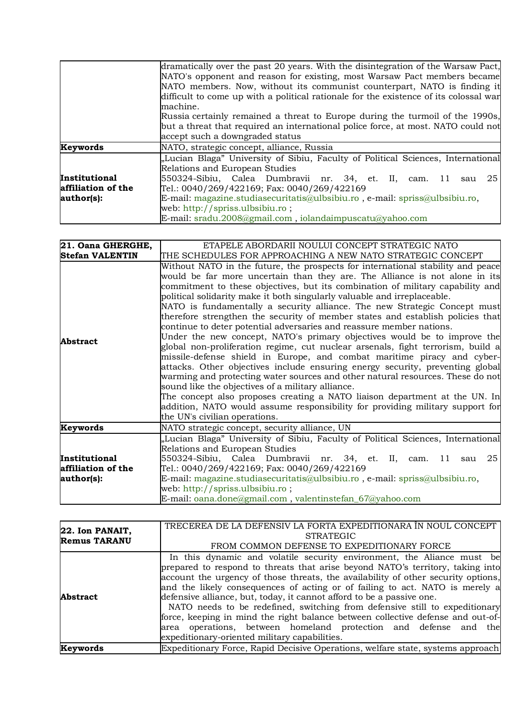|                    | dramatically over the past 20 years. With the disintegration of the Warsaw Pact,      |
|--------------------|---------------------------------------------------------------------------------------|
|                    | NATO's opponent and reason for existing, most Warsaw Pact members became              |
|                    | NATO members. Now, without its communist counterpart, NATO is finding it              |
|                    | difficult to come up with a political rationale for the existence of its colossal war |
|                    | machine.                                                                              |
|                    | Russia certainly remained a threat to Europe during the turmoil of the 1990s,         |
|                    | but a threat that required an international police force, at most. NATO could not     |
|                    | accept such a downgraded status                                                       |
| Keywords           | NATO, strategic concept, alliance, Russia                                             |
|                    | "Lucian Blaga" University of Sibiu, Faculty of Political Sciences, International      |
|                    | Relations and European Studies                                                        |
| Institutional      | 550324-Sibiu, Calea Dumbravii nr. 34, et. II, cam. 11<br>25<br>sau                    |
| affiliation of the | Tel.: $0040/269/422169$ ; Fax: $0040/269/422169$                                      |
| author(s):         | E-mail: magazine.studiasecuritatis@ulbsibiu.ro, e-mail: spriss@ulbsibiu.ro,           |
|                    | web: $\frac{htp!}{spriss.}$ ulbsibiu.ro;                                              |
|                    | E-mail: sradu.2008@gmail.com, iolandaimpuscatu@yahoo.com                              |

| 21. Oana GHERGHE,                                 | ETAPELE ABORDARII NOULUI CONCEPT STRATEGIC NATO                                                                                                                                                                                                                                                                                                                                                                                                                                                                                                                                                                                                                                                                                                                                                                                                                                                                                                                                                                                                                                                                                                                                                                                       |
|---------------------------------------------------|---------------------------------------------------------------------------------------------------------------------------------------------------------------------------------------------------------------------------------------------------------------------------------------------------------------------------------------------------------------------------------------------------------------------------------------------------------------------------------------------------------------------------------------------------------------------------------------------------------------------------------------------------------------------------------------------------------------------------------------------------------------------------------------------------------------------------------------------------------------------------------------------------------------------------------------------------------------------------------------------------------------------------------------------------------------------------------------------------------------------------------------------------------------------------------------------------------------------------------------|
| <b>Stefan VALENTIN</b>                            | THE SCHEDULES FOR APPROACHING A NEW NATO STRATEGIC CONCEPT                                                                                                                                                                                                                                                                                                                                                                                                                                                                                                                                                                                                                                                                                                                                                                                                                                                                                                                                                                                                                                                                                                                                                                            |
| <b>Abstract</b>                                   | Without NATO in the future, the prospects for international stability and peace<br>would be far more uncertain than they are. The Alliance is not alone in its<br>commitment to these objectives, but its combination of military capability and<br>political solidarity make it both singularly valuable and irreplaceable.<br>NATO is fundamentally a security alliance. The new Strategic Concept must<br>therefore strengthen the security of member states and establish policies that<br>continue to deter potential adversaries and reassure member nations.<br>Under the new concept, NATO's primary objectives would be to improve the<br>global non-proliferation regime, cut nuclear arsenals, fight terrorism, build a<br>missile-defense shield in Europe, and combat maritime piracy and cyber-<br>attacks. Other objectives include ensuring energy security, preventing global<br>warming and protecting water sources and other natural resources. These do not<br>sound like the objectives of a military alliance.<br>The concept also proposes creating a NATO liaison department at the UN. In<br>addition, NATO would assume responsibility for providing military support for<br>the UN's civilian operations. |
| Keywords                                          | NATO strategic concept, security alliance, UN                                                                                                                                                                                                                                                                                                                                                                                                                                                                                                                                                                                                                                                                                                                                                                                                                                                                                                                                                                                                                                                                                                                                                                                         |
| Institutional<br>affiliation of the<br>author(s): | "Lucian Blaga" University of Sibiu, Faculty of Political Sciences, International<br>Relations and European Studies<br>550324-Sibiu, Calea Dumbravii nr. 34, et. II, cam. 11<br>sau 25<br>Tel.: 0040/269/422169; Fax: 0040/269/422169<br>E-mail: magazine.studiasecuritatis@ulbsibiu.ro, e-mail: spriss@ulbsibiu.ro,<br>web: http://spriss.ulbsibiu.ro;                                                                                                                                                                                                                                                                                                                                                                                                                                                                                                                                                                                                                                                                                                                                                                                                                                                                                |
|                                                   | E-mail: $oana.done@gmail.com$ , valentinstefan_67 $@yahoo.com$                                                                                                                                                                                                                                                                                                                                                                                                                                                                                                                                                                                                                                                                                                                                                                                                                                                                                                                                                                                                                                                                                                                                                                        |

| 22. Ion PANAIT,<br><b>Remus TARANU</b> | TRECEREA DE LA DEFENSIV LA FORTA EXPEDITIONARA ÎN NOUL CONCEPT                    |
|----------------------------------------|-----------------------------------------------------------------------------------|
|                                        | <b>STRATEGIC</b>                                                                  |
|                                        | FROM COMMON DEFENSE TO EXPEDITIONARY FORCE                                        |
|                                        | In this dynamic and volatile security environment, the Aliance must be            |
| <b>Abstract</b>                        | prepared to respond to threats that arise beyond NATO's territory, taking into    |
|                                        | account the urgency of those threats, the availability of other security options, |
|                                        | and the likely consequences of acting or of failing to act. NATO is merely a      |
|                                        | defensive alliance, but, today, it cannot afford to be a passive one.             |
|                                        | NATO needs to be redefined, switching from defensive still to expeditionary       |
|                                        | force, keeping in mind the right balance between collective defense and out-of-   |
|                                        | area operations, between homeland protection and defense and the                  |
|                                        | expeditionary-oriented military capabilities.                                     |
| Keywords                               | Expeditionary Force, Rapid Decisive Operations, welfare state, systems approach   |